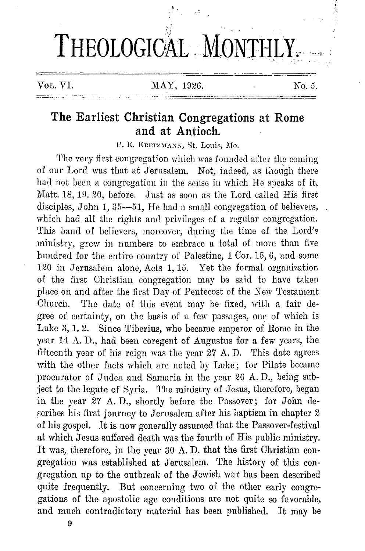# THEOLOGICAL MONTHLY.

VOL. VI. MAY, 1926. No. 5.

# **The Earliest Christian Congregations at Rome and at Antioch.**

P. E. KRETZMANN, St. Louis, Mo.

The very first congregation which was founded after the coming of our Lord was that at Jerusalem. Not, indeed, as though there had not been a congregation in the sense in which He speaks of it, Matt. 18, 19, 20, before. Just as soon as the Lord called His first disciples, John 1, 35-51, He had a small congregation of believers, which had all the rights and privileges of a regular congregation. This band of believers, moreover, during the time of the Lord's ministry, grew in numbers to embrace a total of more than five hundred for the entire country of Palestine, 1 Cor. 15, 6, and some 120 in Jerusalem alone, Acts 1, 15. Yet the formal organization of the first Christian congregation may be said to have taken place on and after the first Day of Pentecost of the New Testament Church. The date of this event may be fixed, with a fair degree of certainty, on the basis of a few passages, one of which is Luke 3, 1. 2. Since Tiberius, who became emperor of Rome in the year 14 A. D., had been coregent of Augustus for a few years, the fifteenth year of his reign was the year  $27$  A.D. This date agrees with the other facts which are noted by Luke; for Pilate became procurator of Judea and Samaria in the year 26 A. D., being subject to the legate of Syria. The ministry of Jesus, therefore, began in the year 27 A. D., shortly before the Passover; for John describes his first journey to Jerusalem after his baptism **in** chapter 2 of his gospel. It is now generally assumed that the Passover-festival at which Jesus suffered death was the fourth of His public ministry. It was, therefore, in the year 30 **A. D.** that the first Christian congregation was established at Jerusalem. The history of this congregation up to the outbreak of the Jewish war has been described quite frequently. But concerning two of the other early congregations of the apostolic age conditions are not quite so favorable, and much contradictory material has been published. It may be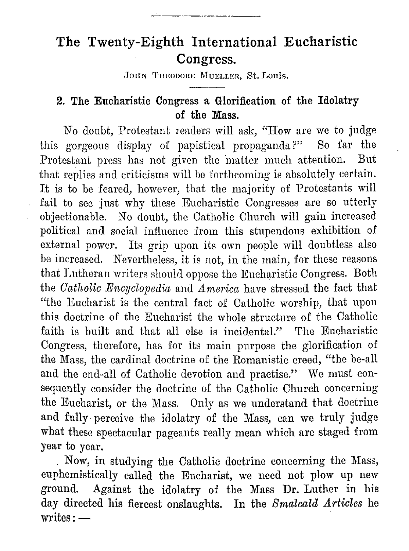# **The Twenty-Eighth International Eucharistic Congress.**

JOHN THEODORE MUELLER. St. Louis.

## **2. The Eucharistic Congress a Glorification of the Idolatry of the Mass.**

No doubt, Protestant readers will ask, "How are we to judge this gorgeous display of papistical propaganda?" So far the Protestant press has not given the matter much attention. But that replies and criticisms will be forthcoming is absolutely certain. It is to be feared, however, that the majority of Protestants will fail to sec just why these Eucharistic Congresses are so utterly objectionable. No doubt, the Catholic Church will gain increased political and social influence from this stupendous exhibition of external power. Its grip upon its own people will doubtless also be increased. Nevertheless, it is not, in the main, for these reasons that Lutheran writers should oppose the Eucharistic Congress. Both the *Catholic Encyclopedia* and *America* have stressed the fact that "the Eucharist is the central fact of Catholic worship, that upon this doctrine of the Eucharist the whole structure of the Catholic faith is built and that all else is incidental." The Eucharistic Congress, therefore, has for its main purpose the glorification of the Mass, the cardinal doctrine of the Romanistic creed, "the be-all and the end-all of Catholic devotion and practise." We must consequently consider the doctrine of the Catholic Church concerning the Eucharist, or the Mass. Only as we understand that doctrine and fully perceive the idolatry of the Mass, can we truly judge what these spectacular pageants really mean which are staged from year to year.

Now, in studying the Catholic doctrine concerning the Mass, euphemistically called the Eucharist, we need not plow up new ground. Against the idolatry of the Mass Dr. Luther in his day directed his fiercest onslaughts. In the *Smalcald Articles* he  $writes: -$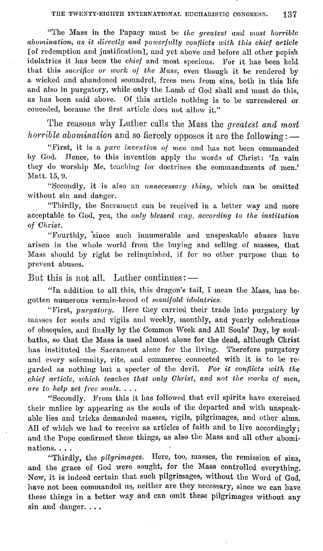"The Mass in the Papacy must be *the greatest and most horrible abomination, as it directly and powerfully conflicts with this chief article*  [of redemption and justification], and yet above and before all other popish idolatries it has been the *chief* and most specious. For it has been held that this *sacrifice or work of the Mass*, even though it be rendered by a wicked and abandoned scoundrel, frees men from sins, both in this life and also in purgatory, while only the Lamb of God shall and must do this, as has been said above. Of this article nothing is to be surrendered or conceded, because the first article does not allow it."

'l'he reasons why Luther calls the Mass the *greatest and most horrible abomination* and so fiercely opposes it are the following: -

"First, it is a *pure invention of rnen* and has not been commanded by God. Hence, to this invention apply the words of Christ: 'In vain they do worship Me, teaching for doctrines the commandments of men.' Matt. 15, 9.

"Secondly, it is also an *nnnecessary thing,* which can be omitted without sin and danger.

"Thirdly, the Sacrament can be reeeived in a better way and more acceptable to God, yea, the *only blessed way, according to the institution of Ghrist.* 

"Fourthly, since such innumerable and unspeakable *abuses* have arisen in the whole world from the buying and selling of masses, that Mass should by right be relinquished, if for no other purpose than to prevent abuses.

But this is not all. Luther continues:  $-$ 

"In addition to all this, this dragon's tail, I mean the Mass, has begotten numerous vermin-brood of *manifold idolatries.* 

"First, *purgatory.* Here they carried their trade into purgatory by masses for souls and vigils and weekly, monthly, and yearly celebrations of obsequies, and finally by the Common \Veek and All Souls' Day, by soulbaths, so that the Mass is used almost alone for the dead, although Christ has instituted the Sacrament alone for the living. Therefore purgatory and every solemnity, rite, and commerce connected with it is to be regarded as nothing but a specter of the devil. For it conflicts with the *chief article, which teaches that only Ghrist, and not the works of men, are to help set free souls .* ...

"Secondly. From this it has followed that evil spirits have exercised their malice by appearing as the souls of the departed and with unspeakable lies and tricks demanded masses, vigils, pilgrimages, and other alms. All of which we had to receive as articles of faith and to live accordingly; and the Pope confirmed these things, as also the Mass and all other abominations....

"Thirdly, the *pilgrimages.* Here, too, masses, the remission of sins, and the grace of God were sought, for the Mass controlled everything. Now, it is indeed certain that such pilgrimages, without the Word of God, have not been commanded us, neither are they necessary, since we can have these things in a better way and can omit these pilgrimages without any sin and danger....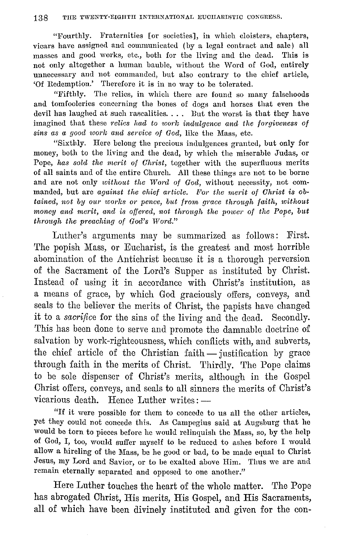"Fourthly. Fraternities [or soeieties], in whieh eloisters, chapters, vicars have assigned and communicated (by a legal contract and sale) all masses and good works, etc., both for the living and the dead. This is not only altogether a human bauble, without the Word of God, entirely unnecessary and not commanded, but also contrary to the chief article, 'Of Redemption.' Therefore it is in no way to be tolerated.

"Fifthly. The relics, in which there are found so many falsehoods and tomfooleries concerning the bones of dogs and horses that even the devil has laughed at such rascalities. . . . But the worst is that they have imagined that these *relics had to work indulgence and the forgiveness of sins as a good work and service of God,* like the Mass, etc.

"Sixthly. Here belong the precious indulgences granted, but only for money, both to the living and the dead, by which the miserable Judas, or Pope, *has sold the merit of Christ,* together with the superfluous merits of all saints and of the entire Church. All these things are not to be borne and are not only *without the Word of God*, without necessity, not commanded, but are *against the chief article*. For the merit of Christ is ob*tained, not by ow· works or pence, but from grace through faith, without money and merit, and is offered, not through the power of the Pope, but through the preaching of God's Word."* 

Luther's arguments may be summarized as follows: First. The popish Mass, or Eucharist, is the greatest and most horrible abomination of the Antichrist because it is a thorough perversion of the Sacrament of the Lord's Supper as instituted by Christ. Instead of using it in accordance with Christ's institution, as a means of grace, by which God graciously offers, conveys, and seals to the believer the merits of Christ, the papists have changed it to a *sacrifice* for the sins of the living and the dead. Secondly. This has been done to serve and promote the damnable doctrine of salvation by work-righteousness, which conflicts with, and subverts, the chief article of the Christian faith  $-$  justification by grace through faith in the merits of Christ. Thirdly. The Pope claims to be sole dispenser of Christ's merits, although in the Gospel Christ offers, conveys, and seals to all sinners the merits of Christ's vicarious death. Hence Luther writes:  $-$ 

"If it were possible for them to concede to us all the other articles, yet they could not concede this. As Campcgius said at Augsburg that he would be torn to pieces before he would relinquish the Mass, so, by the help of God, I, too, would suffer myself to be reduced to ashes before I would allow a hireling of the Mass, be he good or bad, to be made equal to Christ Jesus, my Lord and Savior, or to be exalted above Him. Thus we are and remain eternally separated and opposed to one another.''

Here Luther touches the heart of the whole matter. The Pope has abrogated Christ, His merits, His Gospel, and His Sacraments, all of which have been divinely instituted and given for the con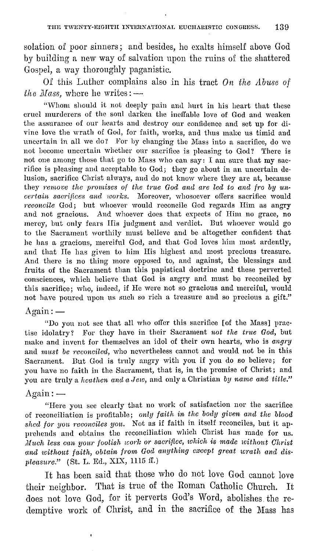solation of poor sinners; and besides, ho exalts himself above God by building a new way of salvation upon the ruins of the shattered Gospel, a way thoroughly paganistio.

Of this Luther complains also in his tract *On the Abuse of lhe Mass, where he writes:* -

"vVhom should it not deeply pain and hurt in his heart that these cruel murderers of the sonl darken the ineffable love of God and weaken the assurance of our hearts and destroy our confidence and set up for divine love the wrath of God, for faith, works, and thus make us timid and uncertain in all we do? For by changing the Mass into a sacrifice, do we not become uncertain whether our sacrifice is pleasing to God? There is not one among those that go to Mass who can say: I am sure that my sacrifice is pleasing and acceptable to God; they go about in an uncertain delusion, sacrifice Christ always, and do not know where they are at, because they *remove the promises of the true God and are led to and fro by uncertain sacrifices and works.* Moreover, whosoever offers sacrifice would *reconcile* God; but whoever would reconcile God regards Him as angry and not gracious. And whoever does that expects of Him no grace, no mercy, but only fears His judgment and verdict. But whoever would go to the Sacrament worthily must believe and be altogether confident that he has a gracious, merciful God, and that God loves him most ardently, and that He has given to him His highest and most precious treasure. And there is no thing more opposed to, and against, the blessings and fruits of the Sacrament than this papistical doctrine and these perverted consciences, which believe that God is angry and must be reconciled by this sacrifice; who, indeed, if He were not so gracious and merciful, would not have poured upon us such so rich a treasure and so precious a gift."

### $Again:$

"Do you not see that all who offer this sacrifice [of the Mass] practise idolatry? For they have in their Sacrament *not the true God,* but make and invent for themselves an idol of their own hearts, who is *angry*  and *must be reconciled,* who nevertheless cannot and would not be in this Sacrament. But God is truly angry with you if you do so believe; for you have no faith in the Sacrament, that is, in the promise of Christ; and you are truly a *heathen and a Jew*, and only a Christian by name and title."

#### $Again:$

ï

"IIere you see clearly that no work of satisfaction nor the sacrifice of reconciliation i8 profitable; *only faith in the body given and the blood shed for you reconciles you.* Not as if faith in itself reconciles, but it apprehends and obtains the reconciliation which Christ has made for us. *Much less can your foolish work or sacrifice, which is made without Christ* and without faith, obtain from God anything except great wrath and dis*pleasure.*" (St. L. Ed., XIX, 1115 ff.)

It has been said that those who do not love God cannot love their neighbor. 'fhat is true of the Roman Catholic Church. It does not love God, for it perverts God's Word, abolishes, the redemptive work of Christ, and in the sacrifice of the Mass has